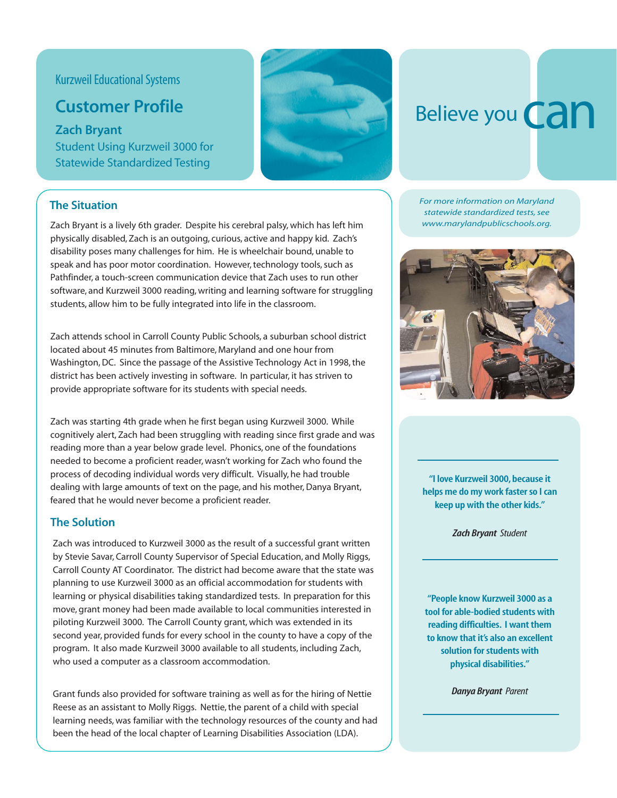## Kurzweil Educational Systems

# **Customer Profile**

**Zach Bryant** Student Using Kurzweil 3000 for Statewide Standardized Testing



### **The Situation**

Zach Bryant is a lively 6th grader. Despite his cerebral palsy, which has left him physically disabled, Zach is an outgoing, curious, active and happy kid. Zach's disability poses many challenges for him. He is wheelchair bound, unable to speak and has poor motor coordination. However, technology tools, such as Pathfinder, a touch-screen communication device that Zach uses to run other software, and Kurzweil 3000 reading, writing and learning software for struggling students, allow him to be fully integrated into life in the classroom.

Zach attends school in Carroll County Public Schools, a suburban school district located about 45 minutes from Baltimore, Maryland and one hour from Washington, DC. Since the passage of the Assistive Technology Act in 1998, the district has been actively investing in software. In particular, it has striven to provide appropriate software for its students with special needs.

Zach was starting 4th grade when he first began using Kurzweil 3000. While cognitively alert, Zach had been struggling with reading since first grade and was reading more than a year below grade level. Phonics, one of the foundations needed to become a proficient reader, wasn't working for Zach who found the process of decoding individual words very difficult. Visually, he had trouble dealing with large amounts of text on the page, and his mother, Danya Bryant, feared that he would never become a proficient reader.

### **The Solution**

Zach was introduced to Kurzweil 3000 as the result of a successful grant written by Stevie Savar, Carroll County Supervisor of Special Education, and Molly Riggs, Carroll County AT Coordinator. The district had become aware that the state was planning to use Kurzweil 3000 as an official accommodation for students with learning or physical disabilities taking standardized tests. In preparation for this move, grant money had been made available to local communities interested in piloting Kurzweil 3000. The Carroll County grant, which was extended in its second year, provided funds for every school in the county to have a copy of the program. It also made Kurzweil 3000 available to all students, including Zach, who used a computer as a classroom accommodation.

Grant funds also provided for software training as well as for the hiring of Nettie Reese as an assistant to Molly Riggs. Nettie, the parent of a child with special learning needs, was familiar with the technology resources of the county and had been the head of the local chapter of Learning Disabilities Association (LDA).

# Believe you **Can**

*For more information on Maryland statewide standardized tests, see www.marylandpublicschools.org.*



**"I love Kurzweil 3000, because it helps me do my work faster so I can keep up with the other kids."**

*Zach Bryant Student*

**"People know Kurzweil 3000 as a tool for able-bodied students with reading difficulties. I want them to know that it's also an excellent solution for students with physical disabilities."**

*Danya Bryant Parent*